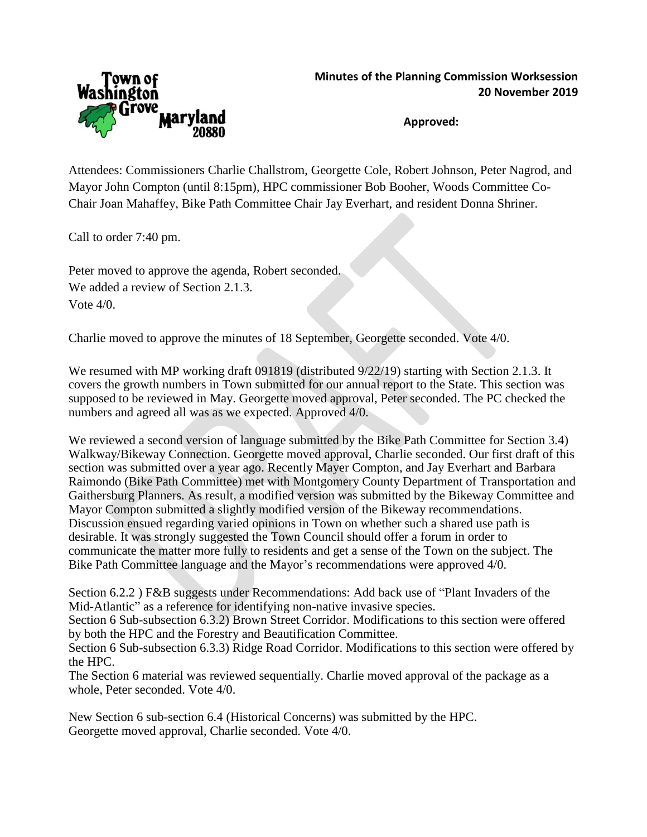

**Approved:**

Attendees: Commissioners Charlie Challstrom, Georgette Cole, Robert Johnson, Peter Nagrod, and Mayor John Compton (until 8:15pm), HPC commissioner Bob Booher, Woods Committee Co-Chair Joan Mahaffey, Bike Path Committee Chair Jay Everhart, and resident Donna Shriner.

Call to order 7:40 pm.

Peter moved to approve the agenda, Robert seconded. We added a review of Section 2.1.3. Vote 4/0.

Charlie moved to approve the minutes of 18 September, Georgette seconded. Vote 4/0.

We resumed with MP working draft 091819 (distributed  $9/22/19$ ) starting with Section 2.1.3. It covers the growth numbers in Town submitted for our annual report to the State. This section was supposed to be reviewed in May. Georgette moved approval, Peter seconded. The PC checked the numbers and agreed all was as we expected. Approved 4/0.

We reviewed a second version of language submitted by the Bike Path Committee for Section 3.4) Walkway/Bikeway Connection. Georgette moved approval, Charlie seconded. Our first draft of this section was submitted over a year ago. Recently Mayer Compton, and Jay Everhart and Barbara Raimondo (Bike Path Committee) met with Montgomery County Department of Transportation and Gaithersburg Planners. As result, a modified version was submitted by the Bikeway Committee and Mayor Compton submitted a slightly modified version of the Bikeway recommendations. Discussion ensued regarding varied opinions in Town on whether such a shared use path is desirable. It was strongly suggested the Town Council should offer a forum in order to communicate the matter more fully to residents and get a sense of the Town on the subject. The Bike Path Committee language and the Mayor's recommendations were approved 4/0.

Section 6.2.2 ) F&B suggests under Recommendations: Add back use of "Plant Invaders of the Mid-Atlantic" as a reference for identifying non-native invasive species.

Section 6 Sub-subsection 6.3.2) Brown Street Corridor. Modifications to this section were offered by both the HPC and the Forestry and Beautification Committee.

Section 6 Sub-subsection 6.3.3) Ridge Road Corridor. Modifications to this section were offered by the HPC.

The Section 6 material was reviewed sequentially. Charlie moved approval of the package as a whole, Peter seconded. Vote 4/0.

New Section 6 sub-section 6.4 (Historical Concerns) was submitted by the HPC. Georgette moved approval, Charlie seconded. Vote 4/0.